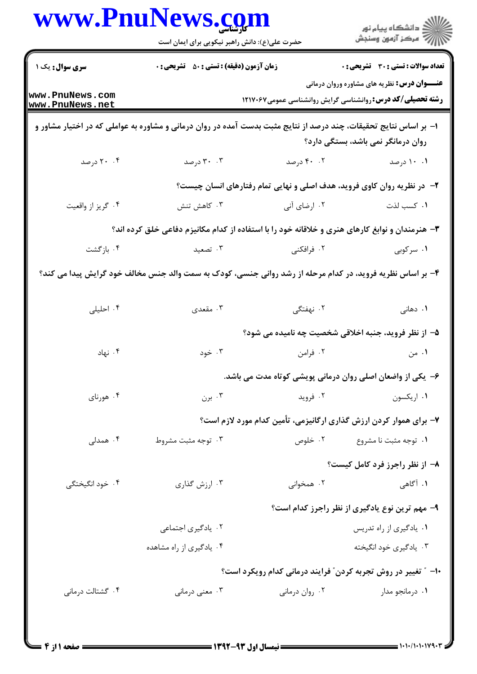| ≦ دانشڪاه پيام نور<br><mark>ر</mark> > مرڪز آزمون وسنڊش                                                                 |                                                                         | www.PnuNews.com<br>حضرت علی(ع): دانش راهبر نیکویی برای ایمان است                                                  |                                    |
|-------------------------------------------------------------------------------------------------------------------------|-------------------------------------------------------------------------|-------------------------------------------------------------------------------------------------------------------|------------------------------------|
| <b>تعداد سوالات : تستی : 30 ٪ تشریحی : 0</b>                                                                            |                                                                         | <b>زمان آزمون (دقیقه) : تستی : 50 ٪ تشریحی : 0</b>                                                                | <b>سری سوال :</b> یک ۱             |
| <b>عنـــوان درس:</b> نظریه های مشاوره وروان درمانی<br><b>رشته تحصیلی/کد درس: روانشناسی گرایش روانشناسی عمومی1۲۱۷۰۶۷</b> |                                                                         |                                                                                                                   | www.PnuNews.com<br>www.PnuNews.net |
| روان درمانگر نمی باشد، بستگی دارد؟                                                                                      |                                                                         | ا– بر اساس نتایج تحقیقات، چند درصد از نتایج مثبت بدست آمده در روان درمانی و مشاوره به عواملی که در اختیار مشاور و |                                    |
| ۰۱ ۱۰ درصد                                                                                                              | ۰.۲ درصد                                                                | ۰۳ درصد                                                                                                           | ۰۴ درصد                            |
|                                                                                                                         | ۲- در نظریه روان کاوی فروید، هدف اصلی و نهایی تمام رفتارهای انسان چیست؟ |                                                                                                                   |                                    |
| ٠١ كسب لذت                                                                                                              | ۰۲ ارضای آنی                                                            | ۰۳ کاهش تنش                                                                                                       | ۰۴ گريز از واقعيت                  |
|                                                                                                                         |                                                                         | ۳- هنرمندان و نوابغ کارهای هنری و خلاقانه خود را با استفاده از کدام مکانیزم دفاعی خلق کرده اند؟                   |                                    |
| ۰۱ سرکوبی                                                                                                               | ۰۲ فرافکنی                                                              | ۰۳ تصعید                                                                                                          | ۰۴ بازگشت                          |
|                                                                                                                         |                                                                         | ۴- بر اساس نظریه فروید، در کدام مرحله از رشد روانی جنسی، کودک به سمت والد جنس مخالف خود گرایش پیدا می کند؟        |                                    |
| ۰۱ دهانی                                                                                                                | ۲. نهفتگی                                                               | ۰۳ مقعدی                                                                                                          | ۰۴ احلیلی                          |
|                                                                                                                         | ۵– از نظر فروید، جنبه اخلاقی شخصیت چه نامیده می شود؟                    |                                                                                                                   |                                    |
| ۰۱ من                                                                                                                   | ۰۲ فرامن                                                                | ۰۳ خود                                                                                                            | ۰۴ نهاد                            |
|                                                                                                                         | ۶- یکی از واضعان اصلی روان درمانی پویشی کوتاه مدت می باشد.              |                                                                                                                   |                                    |
| ۰۱ اریکسون                                                                                                              | ۰۲ فروید                                                                | ۰۳ برن $\cdot$                                                                                                    | ۰۴ هورناي                          |
|                                                                                                                         | ۷- برای هموار کردن ارزش گذاری ارگانیزمی، تأمین کدام مورد لازم است؟      |                                                                                                                   |                                    |
| ۰۱ توجه مثبت نا مشروع                                                                                                   | ۰۲ خلوص                                                                 | ۰۳ توجه مثبت مشروط                                                                                                | ۰۴ همدلی                           |
| ۸- از نظر راجرز فرد کامل کیست؟                                                                                          |                                                                         |                                                                                                                   |                                    |
| ۰۱ آگاهی                                                                                                                | ۰۲ همخوانی                                                              | ۰۳ ارزش گذاری                                                                                                     | ۰۴ خود انگیختگی                    |
| ۹- مهم ترین نوع یادگیری از نظر راجرز کدام است؟                                                                          |                                                                         |                                                                                                                   |                                    |
| ۰۱ يادگيري از راه تدريس                                                                                                 |                                                                         | ۰۲ یادگیری اجتماعی                                                                                                |                                    |
| ۰۳ يادگيري خود انگيخته                                                                                                  |                                                                         | ۰۴ یادگیری از راه مشاهده                                                                                          |                                    |
|                                                                                                                         | ۱۰− ″ تغییر در روش تجربه کردن″ فرایند درمانی کدام رویکرد است؟           |                                                                                                                   |                                    |
| ۰۱ درمانجو مدار                                                                                                         | ۰۲ روان درمانی                                                          | ۰۳ معنی درمانی                                                                                                    | ۰۴ گشتالت درمانی                   |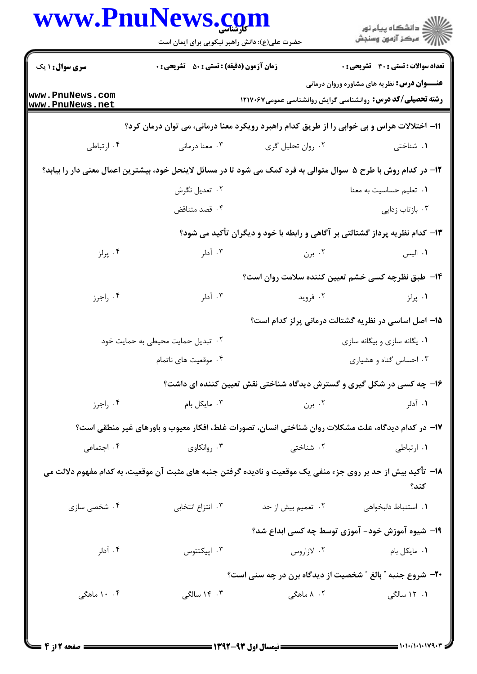|                                    | حضرت علی(ع): دانش راهبر نیکویی برای ایمان است      |                                                                                                                  | ڪ دانشڪاه پيام نور<br>//> مرڪز آزمون وسنڊش          |
|------------------------------------|----------------------------------------------------|------------------------------------------------------------------------------------------------------------------|-----------------------------------------------------|
| <b>سری سوال : ۱ یک</b>             | <b>زمان آزمون (دقیقه) : تستی : 50 ٪ تشریحی : 0</b> |                                                                                                                  | <b>تعداد سوالات : تستی : 30 ٪ تشریحی : 0</b>        |
| www.PnuNews.com<br>www.PnuNews.net |                                                    | <b>رشته تحصیلی/کد درس:</b> روانشناسی گرایش روانشناسی عمومی۱۲۱۷۰۶۷                                                | <b>عنـــوان درس:</b> نظریه های مشاوره وروان درمانی  |
|                                    |                                                    | 11– اختلالات هراس و بی خوابی را از طریق کدام راهبرد رویکرد معنا درمانی، می توان درمان کرد؟                       |                                                     |
| ۰۴ ارتباطی                         | ۰۳ معنا درمانی                                     | ۰۲ روان تحلیل گری                                                                                                | ۰۱ شناختی                                           |
|                                    |                                                    | ۱۲– در کدام روش با طرح ۵٪ سوال متوالی به فرد کمک می شود تا در مسائل لاینحل خود، بیشترین اعمال معنی دار را بیابد؟ |                                                     |
|                                    | ۰۲ تعدیل نگرش                                      |                                                                                                                  | ٠١ تعليم حساسيت به معنا                             |
|                                    | ۰۴ قصد متناقض                                      |                                                                                                                  | ۰۳ بازتاب زدایی                                     |
|                                    |                                                    | ۱۳- کدام نظریه پرداز گشتالتی بر آگاهی و رابطه با خود و دیگران تأکید می شود؟                                      |                                                     |
| ۰۴ پرلز                            | ۰۳ آدلر                                            | ۰۲ برن                                                                                                           | ۰۱ الیس                                             |
|                                    |                                                    | ۱۴– طبق نظرچه کسی خشم تعیین کننده سلامت روان است؟                                                                |                                                     |
| ۰۴ راجرز                           | ۰۳ آدلر                                            | ۰۲ فروید                                                                                                         | ۰۱ پرلز                                             |
|                                    |                                                    |                                                                                                                  | ۱۵– اصل اساسی در نظریه گشتالت درمانی پرلز کدام است؟ |
|                                    | ۰۲ تبدیل حمایت محیطی به حمایت خود                  | ۰۱ يگانه سازي و بيگانه سازي                                                                                      |                                                     |
|                                    | ۰۴ موقعیت های ناتمام                               |                                                                                                                  | ۰۳ احساس گناه و هشیاری                              |
|                                    |                                                    | ۱۶- چه کسی در شکل گیری و گسترش دیدگاه شناختی نقش تعیین کننده ای داشت؟                                            |                                                     |
| ۰۴ راجرز                           | ۰۳ مایکل بام                                       | ۰۲ برن                                                                                                           | ۰۱ آدلر                                             |
|                                    |                                                    | ۱۷– در کدام دیدگاه، علت مشکلات روان شناختی انسان، تصورات غلط، افکار معیوب و باورهای غیر منطقی است؟               |                                                     |
| ۰۴ اجتماعی                         | ۰۳ روانکاوي                                        | ۰۲ شناختی                                                                                                        | ۰۱ ارتباطی                                          |
|                                    |                                                    | ۱۸– تأکید بیش از حد بر روی جزء منفی یک موقعیت و نادیده گرفتن جنبه های مثبت آن موقعیت، به کدام مفهوم دلالت می     | كند؟                                                |
| ۰۴ شخصی سازی                       | ۰۳ انتزاع انتخابی                                  | ۰۲ تعمیم بیش از حد                                                                                               | ٠١ استنباط دلبخواهي                                 |
|                                    |                                                    |                                                                                                                  | ۱۹- شیوه آموزش خود- آموزی توسط چه کسی ابداع شد؟     |
| ۰۴ آدلر                            | ۰۳ اپیکتتوس                                        | ۰۲ لازاروس                                                                                                       | ۰۱ مایکل بام                                        |
|                                    |                                                    | <b>۲۰</b> - شروع جنبه " بالغ " شخصیت از دیدگاه برن در چه سنی است؟                                                |                                                     |
| ۰. ۱۰ ماهگی                        | ۰۳ ۱۴ سالگی                                        | ۰۲ ۸ ماهگی                                                                                                       | ۱. ۱۲ سالگی                                         |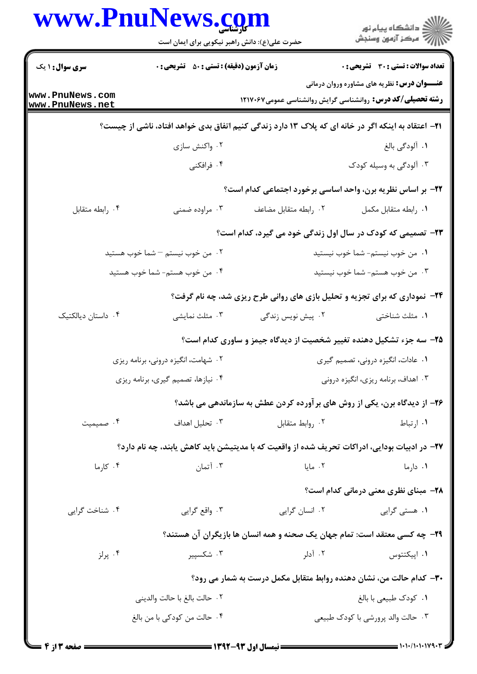| <b>زمان آزمون (دقیقه) : تستی : 50 ٪ تشریحی : 0</b>                 |                                | <b>تعداد سوالات : تستی : 30 ٪ تشریحی : 0</b>                                                                                                                                                                                                                                                                                                                                                                                                                                                                                                                                                                                                                                                                                                  |  |
|--------------------------------------------------------------------|--------------------------------|-----------------------------------------------------------------------------------------------------------------------------------------------------------------------------------------------------------------------------------------------------------------------------------------------------------------------------------------------------------------------------------------------------------------------------------------------------------------------------------------------------------------------------------------------------------------------------------------------------------------------------------------------------------------------------------------------------------------------------------------------|--|
|                                                                    |                                | <b>عنـــوان درس:</b> نظریه های مشاوره وروان درمانی<br><b>رشته تحصیلی/کد درس:</b> روانشناسی گرایش روانشناسی عمومی1۲۱۷۰۶۷                                                                                                                                                                                                                                                                                                                                                                                                                                                                                                                                                                                                                       |  |
|                                                                    |                                |                                                                                                                                                                                                                                                                                                                                                                                                                                                                                                                                                                                                                                                                                                                                               |  |
| ۰۲ واکنش سازی                                                      |                                | ۰۱ آلودگی بالغ                                                                                                                                                                                                                                                                                                                                                                                                                                                                                                                                                                                                                                                                                                                                |  |
| ۰۴ فرافکنی                                                         |                                | ۰۳ آلودگی به وسیله کودک                                                                                                                                                                                                                                                                                                                                                                                                                                                                                                                                                                                                                                                                                                                       |  |
|                                                                    |                                |                                                                                                                                                                                                                                                                                                                                                                                                                                                                                                                                                                                                                                                                                                                                               |  |
| ۰۳ مراوده ضمنی                                                     | ٠٢ رابطه متقابل مضاعف          | ٠١. رابطه متقابل مكمل                                                                                                                                                                                                                                                                                                                                                                                                                                                                                                                                                                                                                                                                                                                         |  |
|                                                                    |                                |                                                                                                                                                                                                                                                                                                                                                                                                                                                                                                                                                                                                                                                                                                                                               |  |
| ۰۲ من خوب نیستم – شما خوب هستید<br>۰۱ من خوب نیستم- شما خوب نیستید |                                |                                                                                                                                                                                                                                                                                                                                                                                                                                                                                                                                                                                                                                                                                                                                               |  |
| ۰۴ من خوب هستم- شما خوب هستید                                      | ۰۳ من خوب هستم- شما خوب نیستید |                                                                                                                                                                                                                                                                                                                                                                                                                                                                                                                                                                                                                                                                                                                                               |  |
|                                                                    |                                |                                                                                                                                                                                                                                                                                                                                                                                                                                                                                                                                                                                                                                                                                                                                               |  |
| ۰۳ مثلث نمایشی                                                     | ۰۲ پیش نویس زندگی              | ۰۱ مثلث شناختی                                                                                                                                                                                                                                                                                                                                                                                                                                                                                                                                                                                                                                                                                                                                |  |
|                                                                    |                                |                                                                                                                                                                                                                                                                                                                                                                                                                                                                                                                                                                                                                                                                                                                                               |  |
| ۰۲ شهامت، انگیزه درونی، برنامه ریزی                                |                                | ۰۱ عادات، انگیزه درونی، تصمیم گیری                                                                                                                                                                                                                                                                                                                                                                                                                                                                                                                                                                                                                                                                                                            |  |
| ۰۴ نیازها، تصمیم گیری، برنامه ریزی                                 |                                | ۰۳ اهداف، برنامه ریزی، انگیزه درونی                                                                                                                                                                                                                                                                                                                                                                                                                                                                                                                                                                                                                                                                                                           |  |
|                                                                    |                                |                                                                                                                                                                                                                                                                                                                                                                                                                                                                                                                                                                                                                                                                                                                                               |  |
| ۰۳ تحلیل اهداف                                                     | ٠٢ روابط متقابل                | ۰۱ ارتباط                                                                                                                                                                                                                                                                                                                                                                                                                                                                                                                                                                                                                                                                                                                                     |  |
|                                                                    |                                |                                                                                                                                                                                                                                                                                                                                                                                                                                                                                                                                                                                                                                                                                                                                               |  |
| ۰۳ آتمان                                                           | ۰۲ مایا                        | ۰۱ دارما                                                                                                                                                                                                                                                                                                                                                                                                                                                                                                                                                                                                                                                                                                                                      |  |
|                                                                    |                                | ۲۸- مبنای نظری معنی درمانی کدام است؟                                                                                                                                                                                                                                                                                                                                                                                                                                                                                                                                                                                                                                                                                                          |  |
| ۰۳ واقع گرايي                                                      | ۰۲ انسان گرایی                 | ۰۱ هستی گرایی                                                                                                                                                                                                                                                                                                                                                                                                                                                                                                                                                                                                                                                                                                                                 |  |
|                                                                    |                                |                                                                                                                                                                                                                                                                                                                                                                                                                                                                                                                                                                                                                                                                                                                                               |  |
| ۰۳ شکسپیر                                                          | ۰۲ آدلر                        | ۰۱ اپيکتتوس                                                                                                                                                                                                                                                                                                                                                                                                                                                                                                                                                                                                                                                                                                                                   |  |
|                                                                    |                                |                                                                                                                                                                                                                                                                                                                                                                                                                                                                                                                                                                                                                                                                                                                                               |  |
| ٠٢ حالت بالغ با حالت والديني                                       |                                | ٠١ كودك طبيعي با بالغ                                                                                                                                                                                                                                                                                                                                                                                                                                                                                                                                                                                                                                                                                                                         |  |
| ۰۴ حالت من كودكي با من بالغ                                        |                                | ۰۳ حالت والد پرورشي با كودك طبيعي                                                                                                                                                                                                                                                                                                                                                                                                                                                                                                                                                                                                                                                                                                             |  |
|                                                                    |                                | <b>۲۱</b> – اعتقاد به اینکه اگر در خانه ای که پلاک ۱۳ دارد زندگی کنیم اتفاق بدی خواهد افتاد، ناشی از چیست؟<br>٢٢- بر اساس نظريه برن، واحد اساسي برخورد اجتماعي كدام است؟<br>۲۳- تصمیمی که کودک در سال اول زندگی خود می گیرد، کدام است؟<br><b>۲۴</b> - نموداری که برای تجزیه و تحلیل بازی های روانی طرح ریزی شد، چه نام گرفت؟<br>۲۵– سه جزء تشکیل دهنده تغییر شخصیت از دیدگاه جیمز و ساوری کدام است؟<br>۲۶- از دیدگاه برن، یکی از روش های بر آورده کردن عطش به سازماندهی می باشد؟<br>۲۷– در ادبیات بودایی، ادراکات تحریف شده از واقعیت که با مدیتیشن باید کاهش یابند، چه نام دارد؟<br><b>۲۹</b> - چه کسی معتقد است: تمام جهان یک صحنه و همه انسان ها بازیگران آن هستند؟<br>۳۰- کدام حالت من، نشان دهنده روابط متقابل مکمل درست به شمار می رود؟ |  |

 $= 1.1 - (1.11199)$